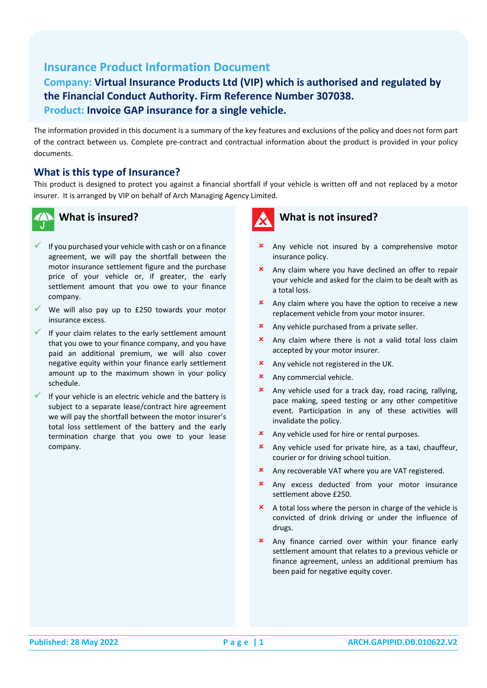# **Insurance Product Information Document**

## **Company: Virtual Insurance Products Ltd (VIP) which is authorised and regulated by the Financial Conduct Authority. Firm Reference Number 307038. Product: Invoice GAP insurance for a single vehicle.**

The information provided in this document is a summary of the key features and exclusions of the policy and does not form part of the contract between us. Complete pre-contract and contractual information about the product is provided in your policy documents.

#### **What is this type of Insurance?**

This product is designed to protect you against a financial shortfall if your vehicle is written off and not replaced by a motor insurer. It is arranged by VIP on behalf of Arch Managing Agency Limited.



## **What is insured?**

- If you purchased your vehicle with cash or on a finance agreement, we will pay the shortfall between the motor insurance settlement figure and the purchase price of your vehicle or, if greater, the early settlement amount that you owe to your finance company.
- $\checkmark$  We will also pay up to £250 towards your motor insurance excess.
- $\checkmark$  If your claim relates to the early settlement amount that you owe to your finance company, and you have paid an additional premium, we will also cover negative equity within your finance early settlement amount up to the maximum shown in your policy schedule.
- If your vehicle is an electric vehicle and the battery is subject to a separate lease/contract hire agreement we will pay the shortfall between the motor insurer's total loss settlement of the battery and the early termination charge that you owe to your lease company.



- **x** Any vehicle not insured by a comprehensive motor insurance policy.
- Any claim where you have declined an offer to repair your vehicle and asked for the claim to be dealt with as a total loss.
- **x** Any claim where you have the option to receive a new replacement vehicle from your motor insurer.
- **\*** Any vehicle purchased from a private seller.
- **x** Any claim where there is not a valid total loss claim accepted by your motor insurer.
- **x** Any vehicle not registered in the UK.
- **x** Any commercial vehicle.
- Any vehicle used for a track day, road racing, rallying, pace making, speed testing or any other competitive event. Participation in any of these activities will invalidate the policy.
- Any vehicle used for hire or rental purposes.
- Any vehicle used for private hire, as a taxi, chauffeur, courier or for driving school tuition.
- Any recoverable VAT where you are VAT registered.
- Any excess deducted from your motor insurance settlement above £250.
- A total loss where the person in charge of the vehicle is convicted of drink driving or under the influence of drugs.
- Any finance carried over within your finance early settlement amount that relates to a previous vehicle or finance agreement, unless an additional premium has been paid for negative equity cover.